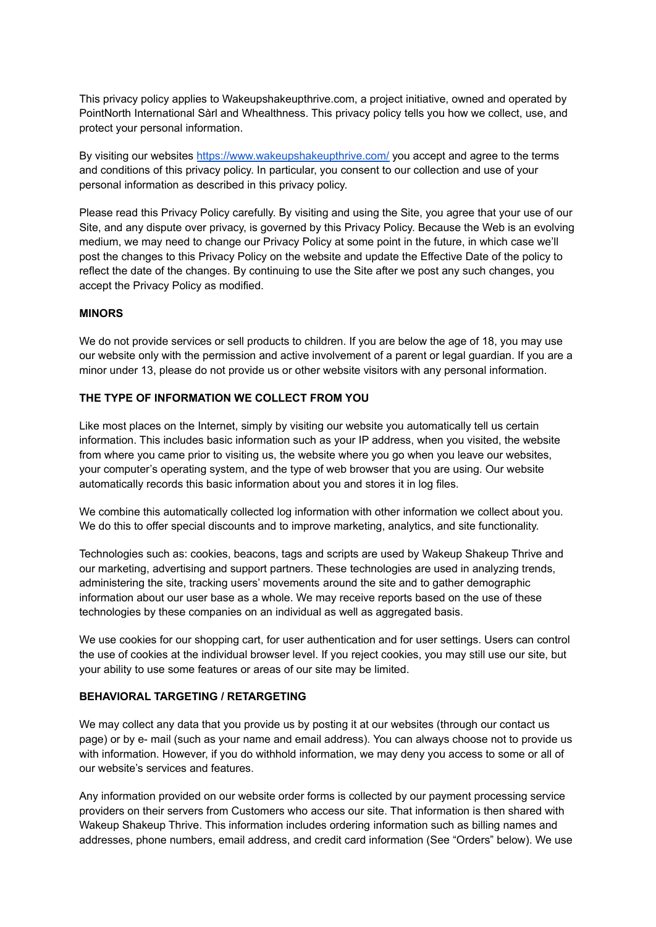This privacy policy applies to Wakeupshakeupthrive.com, a project initiative, owned and operated by PointNorth International Sàrl and Whealthness. This privacy policy tells you how we collect, use, and protect your personal information.

By visiting our websites <https://www.wakeupshakeupthrive.com/> you accept and agree to the terms and conditions of this privacy policy. In particular, you consent to our collection and use of your personal information as described in this privacy policy.

Please read this Privacy Policy carefully. By visiting and using the Site, you agree that your use of our Site, and any dispute over privacy, is governed by this Privacy Policy. Because the Web is an evolving medium, we may need to change our Privacy Policy at some point in the future, in which case we'll post the changes to this Privacy Policy on the website and update the Effective Date of the policy to reflect the date of the changes. By continuing to use the Site after we post any such changes, you accept the Privacy Policy as modified.

#### **MINORS**

We do not provide services or sell products to children. If you are below the age of 18, you may use our website only with the permission and active involvement of a parent or legal guardian. If you are a minor under 13, please do not provide us or other website visitors with any personal information.

# **THE TYPE OF INFORMATION WE COLLECT FROM YOU**

Like most places on the Internet, simply by visiting our website you automatically tell us certain information. This includes basic information such as your IP address, when you visited, the website from where you came prior to visiting us, the website where you go when you leave our websites, your computer's operating system, and the type of web browser that you are using. Our website automatically records this basic information about you and stores it in log files.

We combine this automatically collected log information with other information we collect about you. We do this to offer special discounts and to improve marketing, analytics, and site functionality.

Technologies such as: cookies, beacons, tags and scripts are used by Wakeup Shakeup Thrive and our marketing, advertising and support partners. These technologies are used in analyzing trends, administering the site, tracking users' movements around the site and to gather demographic information about our user base as a whole. We may receive reports based on the use of these technologies by these companies on an individual as well as aggregated basis.

We use cookies for our shopping cart, for user authentication and for user settings. Users can control the use of cookies at the individual browser level. If you reject cookies, you may still use our site, but your ability to use some features or areas of our site may be limited.

### **BEHAVIORAL TARGETING / RETARGETING**

We may collect any data that you provide us by posting it at our websites (through our contact us page) or by e- mail (such as your name and email address). You can always choose not to provide us with information. However, if you do withhold information, we may deny you access to some or all of our website's services and features.

Any information provided on our website order forms is collected by our payment processing service providers on their servers from Customers who access our site. That information is then shared with Wakeup Shakeup Thrive. This information includes ordering information such as billing names and addresses, phone numbers, email address, and credit card information (See "Orders" below). We use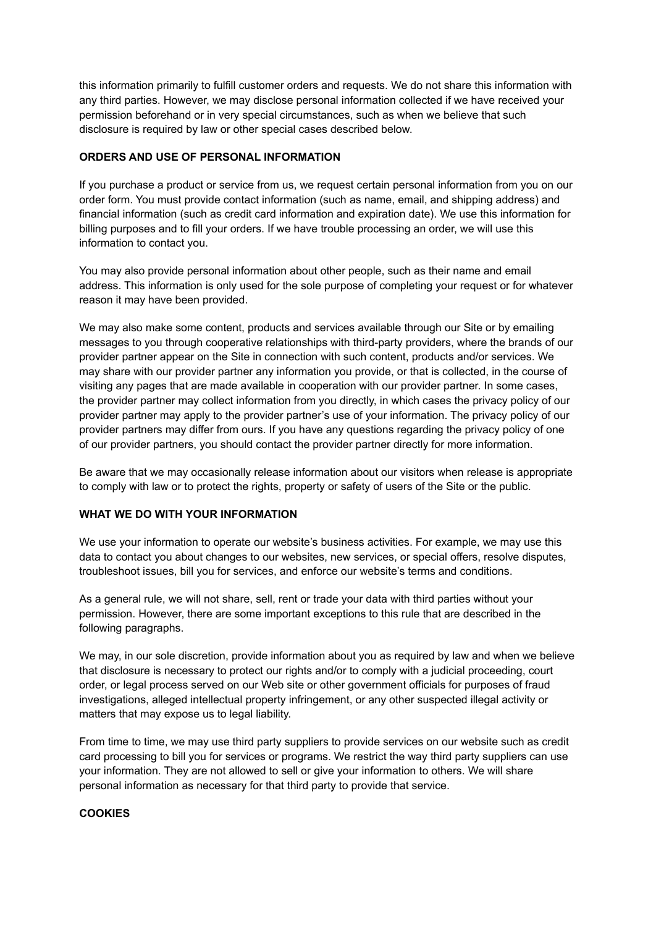this information primarily to fulfill customer orders and requests. We do not share this information with any third parties. However, we may disclose personal information collected if we have received your permission beforehand or in very special circumstances, such as when we believe that such disclosure is required by law or other special cases described below.

# **ORDERS AND USE OF PERSONAL INFORMATION**

If you purchase a product or service from us, we request certain personal information from you on our order form. You must provide contact information (such as name, email, and shipping address) and financial information (such as credit card information and expiration date). We use this information for billing purposes and to fill your orders. If we have trouble processing an order, we will use this information to contact you.

You may also provide personal information about other people, such as their name and email address. This information is only used for the sole purpose of completing your request or for whatever reason it may have been provided.

We may also make some content, products and services available through our Site or by emailing messages to you through cooperative relationships with third-party providers, where the brands of our provider partner appear on the Site in connection with such content, products and/or services. We may share with our provider partner any information you provide, or that is collected, in the course of visiting any pages that are made available in cooperation with our provider partner. In some cases, the provider partner may collect information from you directly, in which cases the privacy policy of our provider partner may apply to the provider partner's use of your information. The privacy policy of our provider partners may differ from ours. If you have any questions regarding the privacy policy of one of our provider partners, you should contact the provider partner directly for more information.

Be aware that we may occasionally release information about our visitors when release is appropriate to comply with law or to protect the rights, property or safety of users of the Site or the public.

#### **WHAT WE DO WITH YOUR INFORMATION**

We use your information to operate our website's business activities. For example, we may use this data to contact you about changes to our websites, new services, or special offers, resolve disputes, troubleshoot issues, bill you for services, and enforce our website's terms and conditions.

As a general rule, we will not share, sell, rent or trade your data with third parties without your permission. However, there are some important exceptions to this rule that are described in the following paragraphs.

We may, in our sole discretion, provide information about you as required by law and when we believe that disclosure is necessary to protect our rights and/or to comply with a judicial proceeding, court order, or legal process served on our Web site or other government officials for purposes of fraud investigations, alleged intellectual property infringement, or any other suspected illegal activity or matters that may expose us to legal liability.

From time to time, we may use third party suppliers to provide services on our website such as credit card processing to bill you for services or programs. We restrict the way third party suppliers can use your information. They are not allowed to sell or give your information to others. We will share personal information as necessary for that third party to provide that service.

#### **COOKIES**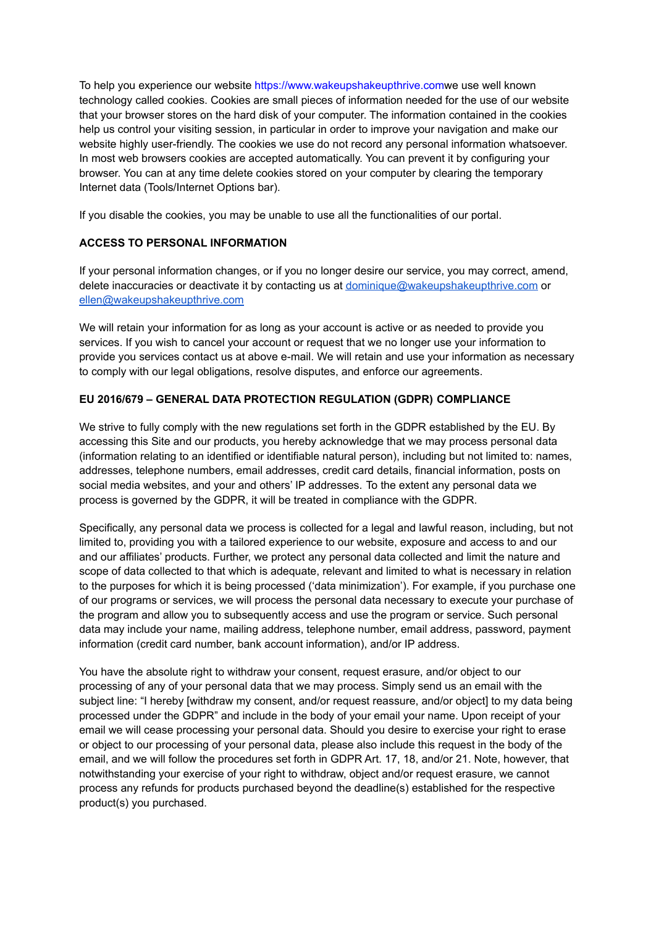To help you experience our website https://www.wakeupshakeupthrive.comwe use well known technology called cookies. Cookies are small pieces of information needed for the use of our website that your browser stores on the hard disk of your computer. The information contained in the cookies help us control your visiting session, in particular in order to improve your navigation and make our website highly user-friendly. The cookies we use do not record any personal information whatsoever. In most web browsers cookies are accepted automatically. You can prevent it by configuring your browser. You can at any time delete cookies stored on your computer by clearing the temporary Internet data (Tools/Internet Options bar).

If you disable the cookies, you may be unable to use all the functionalities of our portal.

# **ACCESS TO PERSONAL INFORMATION**

If your personal information changes, or if you no longer desire our service, you may correct, amend, delete inaccuracies or deactivate it by contacting us at [dominique@wakeupshakeupthrive.com](mailto:dominique@wakeupshakeupthrive.com) or [ellen@wakeupshakeupthrive.com](mailto:ellen@wakeupshakeupthrive.com)

We will retain your information for as long as your account is active or as needed to provide you services. If you wish to cancel your account or request that we no longer use your information to provide you services contact us at above e-mail. We will retain and use your information as necessary to comply with our legal obligations, resolve disputes, and enforce our agreements.

# **EU 2016/679 – GENERAL DATA PROTECTION REGULATION (GDPR) COMPLIANCE**

We strive to fully comply with the new regulations set forth in the GDPR established by the EU. By accessing this Site and our products, you hereby acknowledge that we may process personal data (information relating to an identified or identifiable natural person), including but not limited to: names, addresses, telephone numbers, email addresses, credit card details, financial information, posts on social media websites, and your and others' IP addresses. To the extent any personal data we process is governed by the GDPR, it will be treated in compliance with the GDPR.

Specifically, any personal data we process is collected for a legal and lawful reason, including, but not limited to, providing you with a tailored experience to our website, exposure and access to and our and our affiliates' products. Further, we protect any personal data collected and limit the nature and scope of data collected to that which is adequate, relevant and limited to what is necessary in relation to the purposes for which it is being processed ('data minimization'). For example, if you purchase one of our programs or services, we will process the personal data necessary to execute your purchase of the program and allow you to subsequently access and use the program or service. Such personal data may include your name, mailing address, telephone number, email address, password, payment information (credit card number, bank account information), and/or IP address.

You have the absolute right to withdraw your consent, request erasure, and/or object to our processing of any of your personal data that we may process. Simply send us an email with the subject line: "I hereby [withdraw my consent, and/or request reassure, and/or object] to my data being processed under the GDPR" and include in the body of your email your name. Upon receipt of your email we will cease processing your personal data. Should you desire to exercise your right to erase or object to our processing of your personal data, please also include this request in the body of the email, and we will follow the procedures set forth in GDPR Art. 17, 18, and/or 21. Note, however, that notwithstanding your exercise of your right to withdraw, object and/or request erasure, we cannot process any refunds for products purchased beyond the deadline(s) established for the respective product(s) you purchased.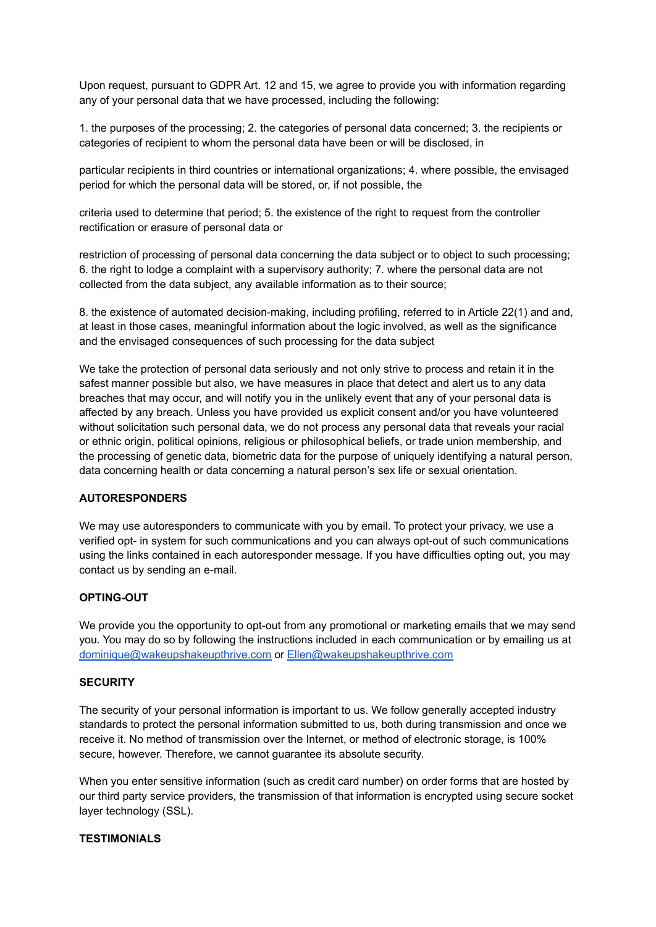Upon request, pursuant to GDPR Art. 12 and 15, we agree to provide you with information regarding any of your personal data that we have processed, including the following:

1. the purposes of the processing; 2. the categories of personal data concerned; 3. the recipients or categories of recipient to whom the personal data have been or will be disclosed, in

particular recipients in third countries or international organizations; 4. where possible, the envisaged period for which the personal data will be stored, or, if not possible, the

criteria used to determine that period; 5. the existence of the right to request from the controller rectification or erasure of personal data or

restriction of processing of personal data concerning the data subject or to object to such processing; 6. the right to lodge a complaint with a supervisory authority; 7. where the personal data are not collected from the data subject, any available information as to their source;

8. the existence of automated decision-making, including profiling, referred to in Article 22(1) and and, at least in those cases, meaningful information about the logic involved, as well as the significance and the envisaged consequences of such processing for the data subject

We take the protection of personal data seriously and not only strive to process and retain it in the safest manner possible but also, we have measures in place that detect and alert us to any data breaches that may occur, and will notify you in the unlikely event that any of your personal data is affected by any breach. Unless you have provided us explicit consent and/or you have volunteered without solicitation such personal data, we do not process any personal data that reveals your racial or ethnic origin, political opinions, religious or philosophical beliefs, or trade union membership, and the processing of genetic data, biometric data for the purpose of uniquely identifying a natural person, data concerning health or data concerning a natural person's sex life or sexual orientation.

#### **AUTORESPONDERS**

We may use autoresponders to communicate with you by email. To protect your privacy, we use a verified opt- in system for such communications and you can always opt-out of such communications using the links contained in each autoresponder message. If you have difficulties opting out, you may contact us by sending an e-mail.

### **OPTING-OUT**

We provide you the opportunity to opt-out from any promotional or marketing emails that we may send you. You may do so by following the instructions included in each communication or by emailing us at [dominique@wakeupshakeupthrive.com](mailto:dominique@wakeupshakeupthrive.com) or [Ellen@wakeupshakeupthrive.com](mailto:Ellen@wakeupshakeupthrive.com)

#### **SECURITY**

The security of your personal information is important to us. We follow generally accepted industry standards to protect the personal information submitted to us, both during transmission and once we receive it. No method of transmission over the Internet, or method of electronic storage, is 100% secure, however. Therefore, we cannot guarantee its absolute security.

When you enter sensitive information (such as credit card number) on order forms that are hosted by our third party service providers, the transmission of that information is encrypted using secure socket layer technology (SSL).

#### **TESTIMONIALS**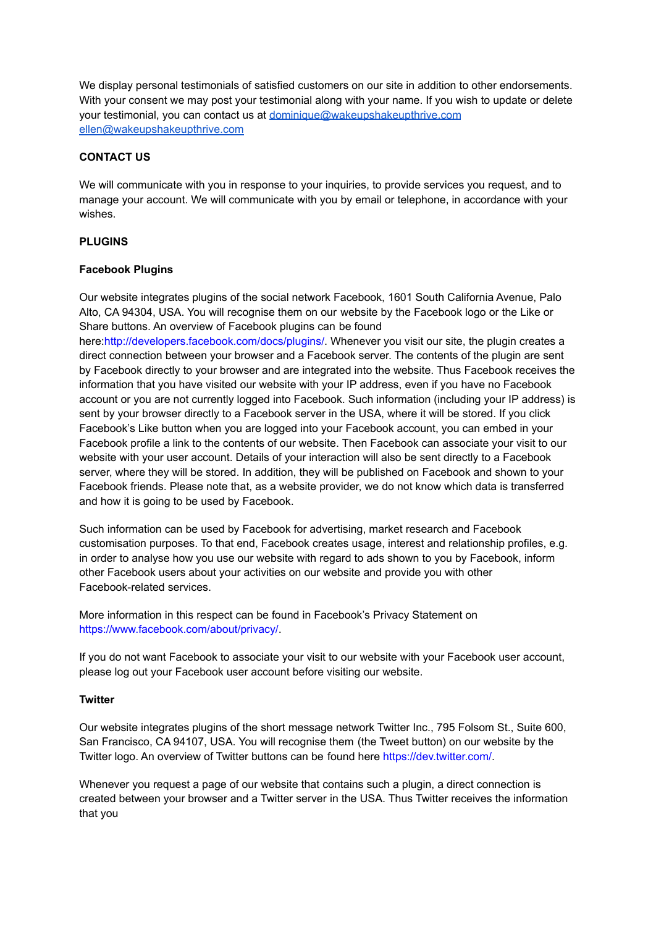We display personal testimonials of satisfied customers on our site in addition to other endorsements. With your consent we may post your testimonial along with your name. If you wish to update or delete your testimonial, you can contact us at [dominique@wakeupshakeupthrive.com](mailto:dominique@wakeupshakeupthrive.com) [ellen@wakeupshakeupthrive.com](mailto:ellen@wakeupshakeupthrive.com)

### **CONTACT US**

We will communicate with you in response to your inquiries, to provide services you request, and to manage your account. We will communicate with you by email or telephone, in accordance with your wishes.

# **PLUGINS**

#### **Facebook Plugins**

Our website integrates plugins of the social network Facebook, 1601 South California Avenue, Palo Alto, CA 94304, USA. You will recognise them on our website by the Facebook logo or the Like or Share buttons. An overview of Facebook plugins can be found

here:http://developers.facebook.com/docs/plugins/. Whenever you visit our site, the plugin creates a direct connection between your browser and a Facebook server. The contents of the plugin are sent by Facebook directly to your browser and are integrated into the website. Thus Facebook receives the information that you have visited our website with your IP address, even if you have no Facebook account or you are not currently logged into Facebook. Such information (including your IP address) is sent by your browser directly to a Facebook server in the USA, where it will be stored. If you click Facebook's Like button when you are logged into your Facebook account, you can embed in your Facebook profile a link to the contents of our website. Then Facebook can associate your visit to our website with your user account. Details of your interaction will also be sent directly to a Facebook server, where they will be stored. In addition, they will be published on Facebook and shown to your Facebook friends. Please note that, as a website provider, we do not know which data is transferred and how it is going to be used by Facebook.

Such information can be used by Facebook for advertising, market research and Facebook customisation purposes. To that end, Facebook creates usage, interest and relationship profiles, e.g. in order to analyse how you use our website with regard to ads shown to you by Facebook, inform other Facebook users about your activities on our website and provide you with other Facebook-related services.

More information in this respect can be found in Facebook's Privacy Statement on https://www.facebook.com/about/privacy/.

If you do not want Facebook to associate your visit to our website with your Facebook user account, please log out your Facebook user account before visiting our website.

#### **Twitter**

Our website integrates plugins of the short message network Twitter Inc., 795 Folsom St., Suite 600, San Francisco, CA 94107, USA. You will recognise them (the Tweet button) on our website by the Twitter logo. An overview of Twitter buttons can be found here https://dev.twitter.com/.

Whenever you request a page of our website that contains such a plugin, a direct connection is created between your browser and a Twitter server in the USA. Thus Twitter receives the information that you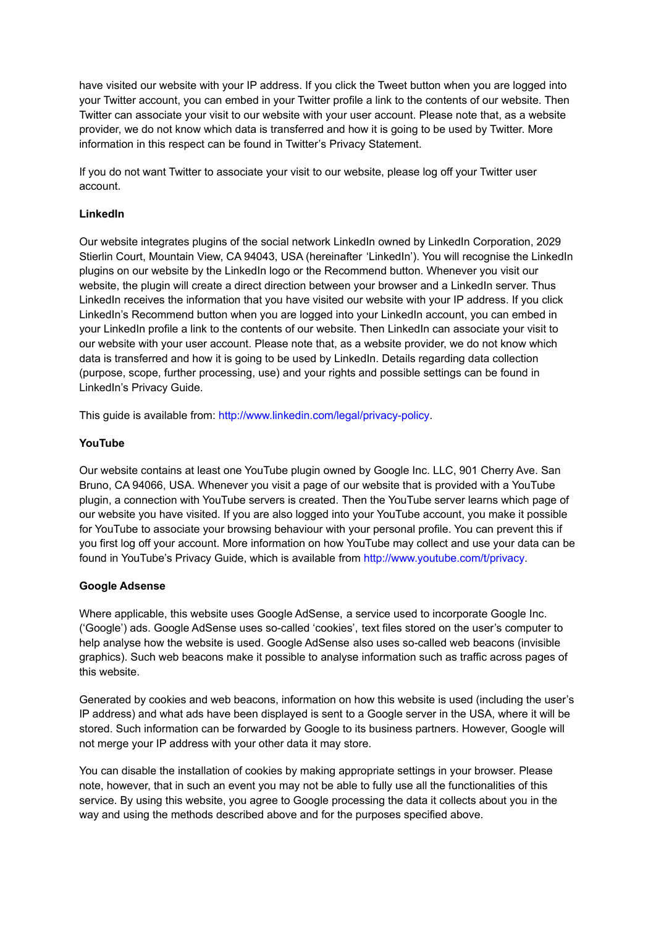have visited our website with your IP address. If you click the Tweet button when you are logged into your Twitter account, you can embed in your Twitter profile a link to the contents of our website. Then Twitter can associate your visit to our website with your user account. Please note that, as a website provider, we do not know which data is transferred and how it is going to be used by Twitter. More information in this respect can be found in Twitter's Privacy Statement.

If you do not want Twitter to associate your visit to our website, please log off your Twitter user account.

#### **LinkedIn**

Our website integrates plugins of the social network LinkedIn owned by LinkedIn Corporation, 2029 Stierlin Court, Mountain View, CA 94043, USA (hereinafter 'LinkedIn'). You will recognise the LinkedIn plugins on our website by the LinkedIn logo or the Recommend button. Whenever you visit our website, the plugin will create a direct direction between your browser and a LinkedIn server. Thus LinkedIn receives the information that you have visited our website with your IP address. If you click LinkedIn's Recommend button when you are logged into your LinkedIn account, you can embed in your LinkedIn profile a link to the contents of our website. Then LinkedIn can associate your visit to our website with your user account. Please note that, as a website provider, we do not know which data is transferred and how it is going to be used by LinkedIn. Details regarding data collection (purpose, scope, further processing, use) and your rights and possible settings can be found in LinkedIn's Privacy Guide.

This guide is available from: http://www.linkedin.com/legal/privacy-policy.

#### **YouTube**

Our website contains at least one YouTube plugin owned by Google Inc. LLC, 901 Cherry Ave. San Bruno, CA 94066, USA. Whenever you visit a page of our website that is provided with a YouTube plugin, a connection with YouTube servers is created. Then the YouTube server learns which page of our website you have visited. If you are also logged into your YouTube account, you make it possible for YouTube to associate your browsing behaviour with your personal profile. You can prevent this if you first log off your account. More information on how YouTube may collect and use your data can be found in YouTube's Privacy Guide, which is available from http://www.youtube.com/t/privacy.

#### **Google Adsense**

Where applicable, this website uses Google AdSense, a service used to incorporate Google Inc. ('Google') ads. Google AdSense uses so-called 'cookies', text files stored on the user's computer to help analyse how the website is used. Google AdSense also uses so-called web beacons (invisible graphics). Such web beacons make it possible to analyse information such as traffic across pages of this website.

Generated by cookies and web beacons, information on how this website is used (including the user's IP address) and what ads have been displayed is sent to a Google server in the USA, where it will be stored. Such information can be forwarded by Google to its business partners. However, Google will not merge your IP address with your other data it may store.

You can disable the installation of cookies by making appropriate settings in your browser. Please note, however, that in such an event you may not be able to fully use all the functionalities of this service. By using this website, you agree to Google processing the data it collects about you in the way and using the methods described above and for the purposes specified above.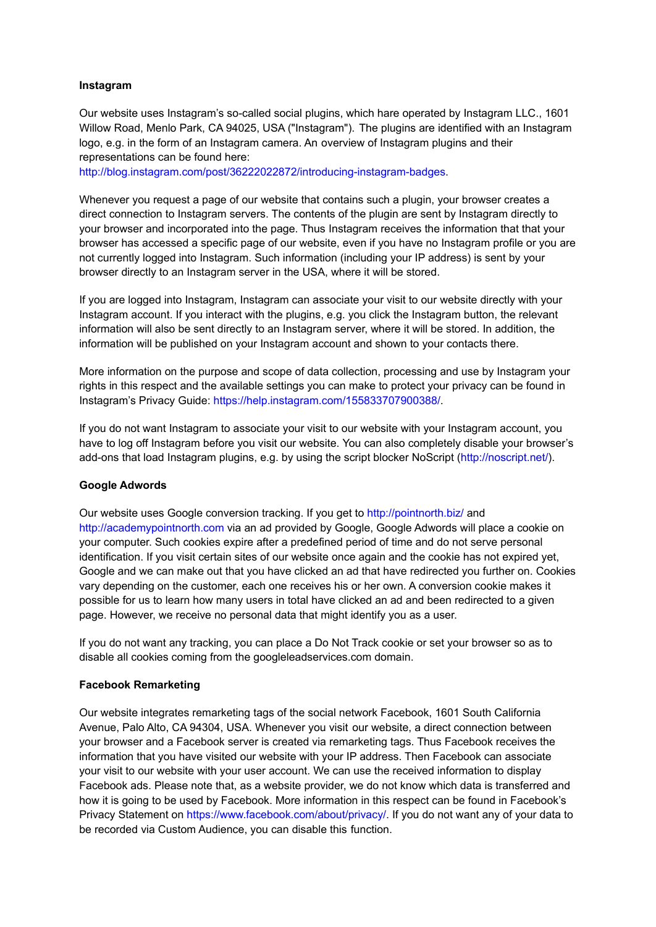#### **Instagram**

Our website uses Instagram's so-called social plugins, which hare operated by Instagram LLC., 1601 Willow Road, Menlo Park, CA 94025, USA ("Instagram"). The plugins are identified with an Instagram logo, e.g. in the form of an Instagram camera. An overview of Instagram plugins and their representations can be found here:

http://blog.instagram.com/post/36222022872/introducing-instagram-badges.

Whenever you request a page of our website that contains such a plugin, your browser creates a direct connection to Instagram servers. The contents of the plugin are sent by Instagram directly to your browser and incorporated into the page. Thus Instagram receives the information that that your browser has accessed a specific page of our website, even if you have no Instagram profile or you are not currently logged into Instagram. Such information (including your IP address) is sent by your browser directly to an Instagram server in the USA, where it will be stored.

If you are logged into Instagram, Instagram can associate your visit to our website directly with your Instagram account. If you interact with the plugins, e.g. you click the Instagram button, the relevant information will also be sent directly to an Instagram server, where it will be stored. In addition, the information will be published on your Instagram account and shown to your contacts there.

More information on the purpose and scope of data collection, processing and use by Instagram your rights in this respect and the available settings you can make to protect your privacy can be found in Instagram's Privacy Guide: https://help.instagram.com/155833707900388/.

If you do not want Instagram to associate your visit to our website with your Instagram account, you have to log off Instagram before you visit our website. You can also completely disable your browser's add-ons that load Instagram plugins, e.g. by using the script blocker NoScript (http://noscript.net/).

#### **Google Adwords**

Our website uses Google conversion tracking. If you get to http://pointnorth.biz/ and http://academypointnorth.com via an ad provided by Google, Google Adwords will place a cookie on your computer. Such cookies expire after a predefined period of time and do not serve personal identification. If you visit certain sites of our website once again and the cookie has not expired yet, Google and we can make out that you have clicked an ad that have redirected you further on. Cookies vary depending on the customer, each one receives his or her own. A conversion cookie makes it possible for us to learn how many users in total have clicked an ad and been redirected to a given page. However, we receive no personal data that might identify you as a user.

If you do not want any tracking, you can place a Do Not Track cookie or set your browser so as to disable all cookies coming from the googleleadservices.com domain.

#### **Facebook Remarketing**

Our website integrates remarketing tags of the social network Facebook, 1601 South California Avenue, Palo Alto, CA 94304, USA. Whenever you visit our website, a direct connection between your browser and a Facebook server is created via remarketing tags. Thus Facebook receives the information that you have visited our website with your IP address. Then Facebook can associate your visit to our website with your user account. We can use the received information to display Facebook ads. Please note that, as a website provider, we do not know which data is transferred and how it is going to be used by Facebook. More information in this respect can be found in Facebook's Privacy Statement on https://www.facebook.com/about/privacy/. If you do not want any of your data to be recorded via Custom Audience, you can disable this function.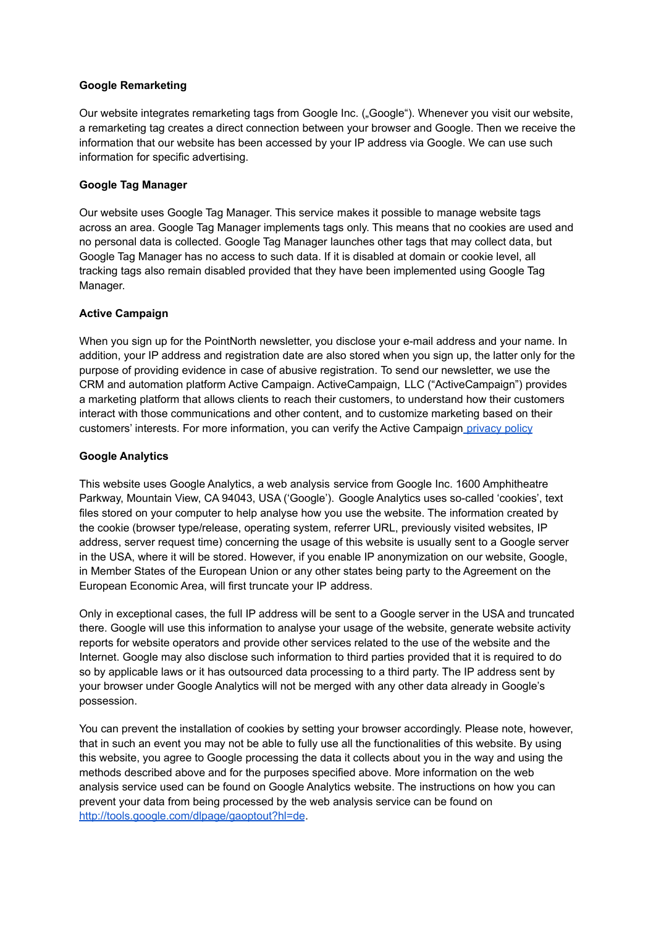### **Google Remarketing**

Our website integrates remarketing tags from Google Inc. ("Google"). Whenever you visit our website, a remarketing tag creates a direct connection between your browser and Google. Then we receive the information that our website has been accessed by your IP address via Google. We can use such information for specific advertising.

### **Google Tag Manager**

Our website uses Google Tag Manager. This service makes it possible to manage website tags across an area. Google Tag Manager implements tags only. This means that no cookies are used and no personal data is collected. Google Tag Manager launches other tags that may collect data, but Google Tag Manager has no access to such data. If it is disabled at domain or cookie level, all tracking tags also remain disabled provided that they have been implemented using Google Tag Manager.

# **Active Campaign**

When you sign up for the PointNorth newsletter, you disclose your e-mail address and your name. In addition, your IP address and registration date are also stored when you sign up, the latter only for the purpose of providing evidence in case of abusive registration. To send our newsletter, we use the CRM and automation platform Active Campaign. ActiveCampaign, LLC ("ActiveCampaign") provides a marketing platform that allows clients to reach their customers, to understand how their customers interact with those communications and other content, and to customize marketing based on their customers' interests. For more information, you can verify the Active Campaign [privacy](https://www.activecampaign.com/legal/privacy-policy#id-collection-of-information) policy

# **Google Analytics**

This website uses Google Analytics, a web analysis service from Google Inc. 1600 Amphitheatre Parkway, Mountain View, CA 94043, USA ('Google'). Google Analytics uses so-called 'cookies', text files stored on your computer to help analyse how you use the website. The information created by the cookie (browser type/release, operating system, referrer URL, previously visited websites, IP address, server request time) concerning the usage of this website is usually sent to a Google server in the USA, where it will be stored. However, if you enable IP anonymization on our website, Google, in Member States of the European Union or any other states being party to the Agreement on the European Economic Area, will first truncate your IP address.

Only in exceptional cases, the full IP address will be sent to a Google server in the USA and truncated there. Google will use this information to analyse your usage of the website, generate website activity reports for website operators and provide other services related to the use of the website and the Internet. Google may also disclose such information to third parties provided that it is required to do so by applicable laws or it has outsourced data processing to a third party. The IP address sent by your browser under Google Analytics will not be merged with any other data already in Google's possession.

You can prevent the installation of cookies by setting your browser accordingly. Please note, however, that in such an event you may not be able to fully use all the functionalities of this website. By using this website, you agree to Google processing the data it collects about you in the way and using the methods described above and for the purposes specified above. More information on the web analysis service used can be found on Google Analytics website. The instructions on how you can prevent your data from being processed by the web analysis service can be found on [http://tools.google.com/dlpage/gaoptout?hl=de](http://tools.google.com/dlpage/gaoptout?hl=de%E2%80%8B).